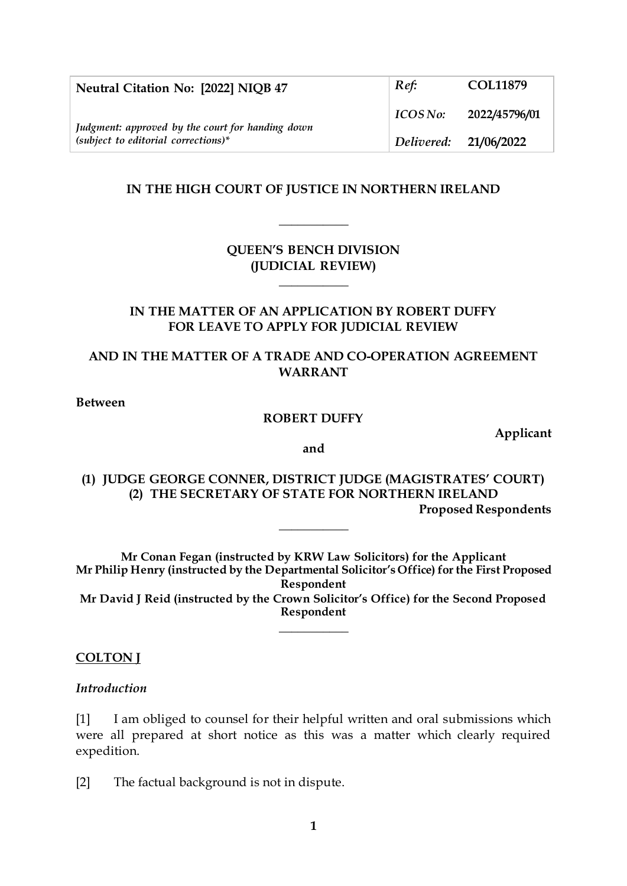| Neutral Citation No: [2022] NIQB 47                                                       | Ref:                  | <b>COL11879</b> |
|-------------------------------------------------------------------------------------------|-----------------------|-----------------|
| Judgment: approved by the court for handing down<br>$(subject to editorial corrections)*$ | ICOSNo:               | 2022/45796/01   |
|                                                                                           | Delivered: 21/06/2022 |                 |

## **IN THE HIGH COURT OF JUSTICE IN NORTHERN IRELAND**

**\_\_\_\_\_\_\_\_\_\_\_**

## **QUEEN'S BENCH DIVISION (JUDICIAL REVIEW)**

**\_\_\_\_\_\_\_\_\_\_\_**

## **IN THE MATTER OF AN APPLICATION BY ROBERT DUFFY FOR LEAVE TO APPLY FOR JUDICIAL REVIEW**

# **AND IN THE MATTER OF A TRADE AND CO-OPERATION AGREEMENT WARRANT**

#### **Between**

#### **ROBERT DUFFY**

**Applicant**

**and**

**(1) JUDGE GEORGE CONNER, DISTRICT JUDGE (MAGISTRATES' COURT) (2) THE SECRETARY OF STATE FOR NORTHERN IRELAND Proposed Respondents**

**\_\_\_\_\_\_\_\_\_\_\_**

**Mr Conan Fegan (instructed by KRW Law Solicitors) for the Applicant Mr Philip Henry (instructed by the Departmental Solicitor's Office) for the First Proposed Respondent Mr David J Reid (instructed by the Crown Solicitor's Office) for the Second Proposed Respondent**

**\_\_\_\_\_\_\_\_\_\_\_**

#### **COLTON J**

#### *Introduction*

[1] I am obliged to counsel for their helpful written and oral submissions which were all prepared at short notice as this was a matter which clearly required expedition.

[2] The factual background is not in dispute.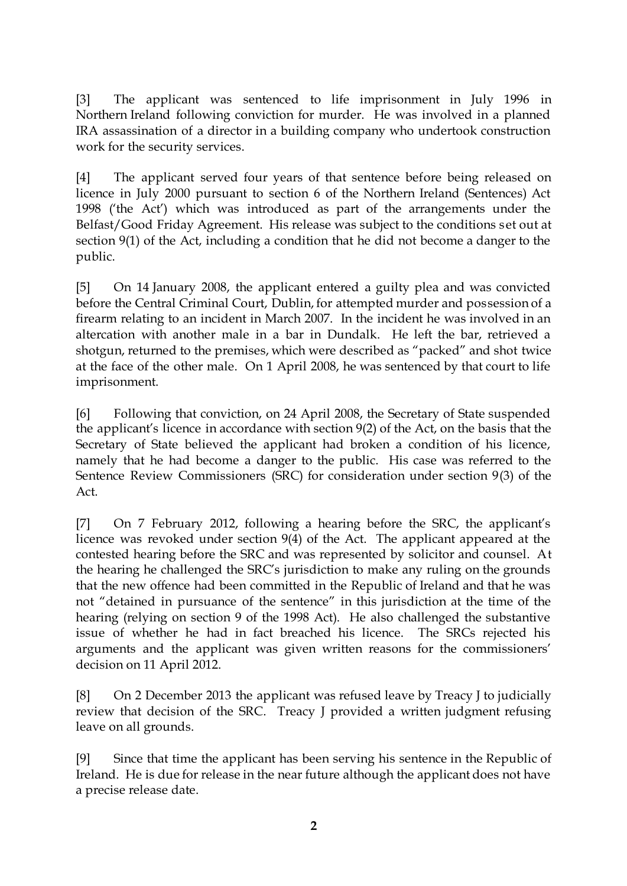[3] The applicant was sentenced to life imprisonment in July 1996 in Northern Ireland following conviction for murder. He was involved in a planned IRA assassination of a director in a building company who undertook construction work for the security services.

[4] The applicant served four years of that sentence before being released on licence in July 2000 pursuant to section 6 of the Northern Ireland (Sentences) Act 1998 ('the Act') which was introduced as part of the arrangements under the Belfast/Good Friday Agreement. His release was subject to the conditions set out at section 9(1) of the Act, including a condition that he did not become a danger to the public.

[5] On 14 January 2008, the applicant entered a guilty plea and was convicted before the Central Criminal Court, Dublin, for attempted murder and possession of a firearm relating to an incident in March 2007. In the incident he was involved in an altercation with another male in a bar in Dundalk. He left the bar, retrieved a shotgun, returned to the premises, which were described as "packed" and shot twice at the face of the other male. On 1 April 2008, he was sentenced by that court to life imprisonment.

[6] Following that conviction, on 24 April 2008, the Secretary of State suspended the applicant's licence in accordance with section 9(2) of the Act, on the basis that the Secretary of State believed the applicant had broken a condition of his licence, namely that he had become a danger to the public. His case was referred to the Sentence Review Commissioners (SRC) for consideration under section 9(3) of the Act.

[7] On 7 February 2012, following a hearing before the SRC, the applicant's licence was revoked under section 9(4) of the Act. The applicant appeared at the contested hearing before the SRC and was represented by solicitor and counsel. At the hearing he challenged the SRC's jurisdiction to make any ruling on the grounds that the new offence had been committed in the Republic of Ireland and that he was not "detained in pursuance of the sentence" in this jurisdiction at the time of the hearing (relying on section 9 of the 1998 Act). He also challenged the substantive issue of whether he had in fact breached his licence. The SRCs rejected his arguments and the applicant was given written reasons for the commissioners' decision on 11 April 2012.

[8] On 2 December 2013 the applicant was refused leave by Treacy J to judicially review that decision of the SRC. Treacy J provided a written judgment refusing leave on all grounds.

[9] Since that time the applicant has been serving his sentence in the Republic of Ireland. He is due for release in the near future although the applicant does not have a precise release date.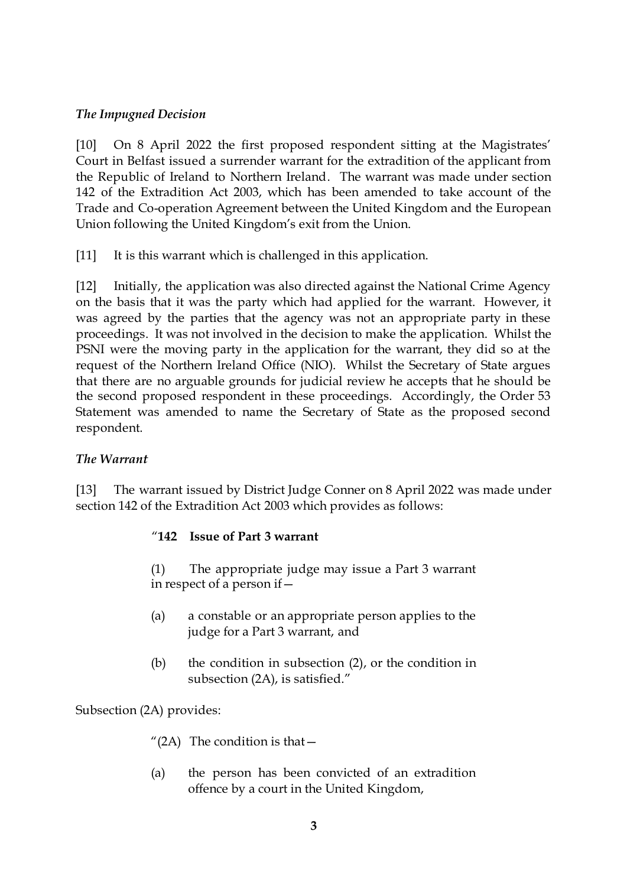# *The Impugned Decision*

[10] On 8 April 2022 the first proposed respondent sitting at the Magistrates' Court in Belfast issued a surrender warrant for the extradition of the applicant from the Republic of Ireland to Northern Ireland. The warrant was made under section 142 of the Extradition Act 2003, which has been amended to take account of the Trade and Co-operation Agreement between the United Kingdom and the European Union following the United Kingdom's exit from the Union.

[11] It is this warrant which is challenged in this application.

[12] Initially, the application was also directed against the National Crime Agency on the basis that it was the party which had applied for the warrant. However, it was agreed by the parties that the agency was not an appropriate party in these proceedings. It was not involved in the decision to make the application. Whilst the PSNI were the moving party in the application for the warrant, they did so at the request of the Northern Ireland Office (NIO). Whilst the Secretary of State argues that there are no arguable grounds for judicial review he accepts that he should be the second proposed respondent in these proceedings. Accordingly, the Order 53 Statement was amended to name the Secretary of State as the proposed second respondent.

## *The Warrant*

[13] The warrant issued by District Judge Conner on 8 April 2022 was made under section 142 of the Extradition Act 2003 which provides as follows:

## "**142 Issue of Part 3 warrant**

(1) The appropriate judge may issue a Part 3 warrant in respect of a person if—

- (a) a constable or an appropriate person applies to the judge for a Part 3 warrant, and
- (b) the condition in subsection (2), or the condition in subsection (2A), is satisfied."

Subsection (2A) provides:

- "(2A) The condition is that  $-$
- (a) the person has been convicted of an extradition offence by a court in the United Kingdom,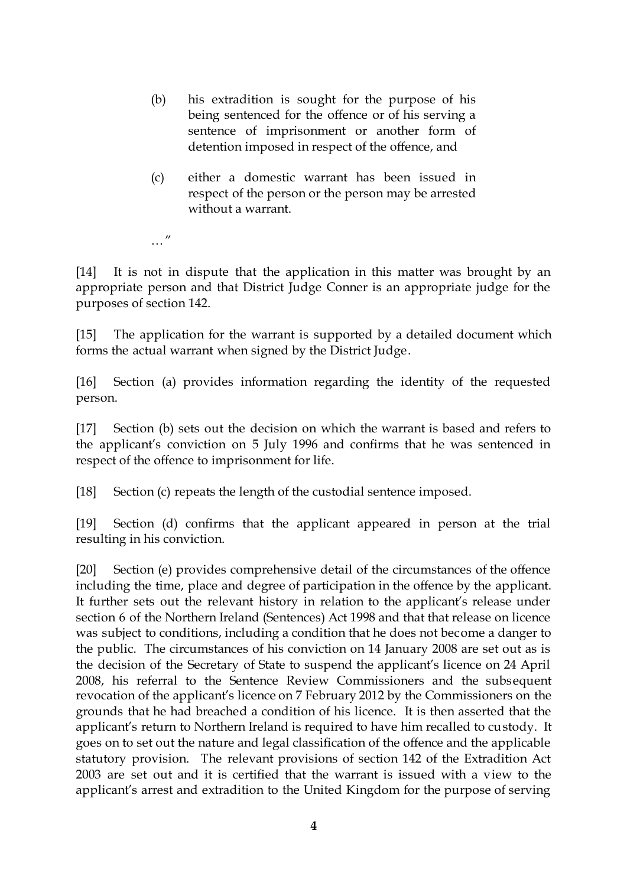- (b) his extradition is sought for the purpose of his being sentenced for the offence or of his serving a sentence of imprisonment or another form of detention imposed in respect of the offence, and
- (c) either a domestic warrant has been issued in respect of the person or the person may be arrested without a warrant.
- … "

[14] It is not in dispute that the application in this matter was brought by an appropriate person and that District Judge Conner is an appropriate judge for the purposes of section 142.

[15] The application for the warrant is supported by a detailed document which forms the actual warrant when signed by the District Judge.

[16] Section (a) provides information regarding the identity of the requested person.

[17] Section (b) sets out the decision on which the warrant is based and refers to the applicant's conviction on 5 July 1996 and confirms that he was sentenced in respect of the offence to imprisonment for life.

[18] Section (c) repeats the length of the custodial sentence imposed.

[19] Section (d) confirms that the applicant appeared in person at the trial resulting in his conviction.

[20] Section (e) provides comprehensive detail of the circumstances of the offence including the time, place and degree of participation in the offence by the applicant. It further sets out the relevant history in relation to the applicant's release under section 6 of the Northern Ireland (Sentences) Act 1998 and that that release on licence was subject to conditions, including a condition that he does not become a danger to the public. The circumstances of his conviction on 14 January 2008 are set out as is the decision of the Secretary of State to suspend the applicant's licence on 24 April 2008, his referral to the Sentence Review Commissioners and the subsequent revocation of the applicant's licence on 7 February 2012 by the Commissioners on the grounds that he had breached a condition of his licence. It is then asserted that the applicant's return to Northern Ireland is required to have him recalled to custody. It goes on to set out the nature and legal classification of the offence and the applicable statutory provision. The relevant provisions of section 142 of the Extradition Act 2003 are set out and it is certified that the warrant is issued with a view to the applicant's arrest and extradition to the United Kingdom for the purpose of serving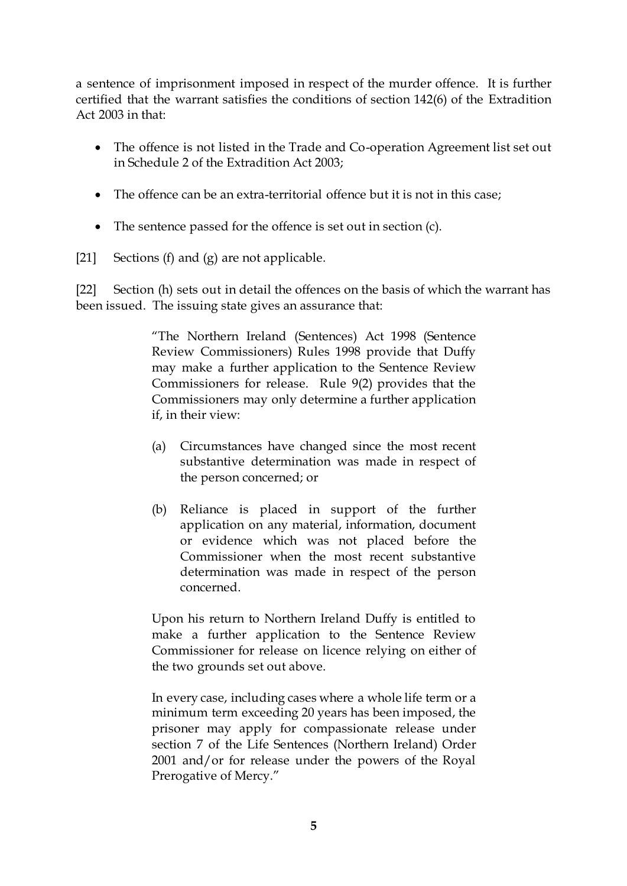a sentence of imprisonment imposed in respect of the murder offence. It is further certified that the warrant satisfies the conditions of section 142(6) of the Extradition Act 2003 in that:

- The offence is not listed in the Trade and Co-operation Agreement list set out in Schedule 2 of the Extradition Act 2003;
- The offence can be an extra-territorial offence but it is not in this case;
- The sentence passed for the offence is set out in section (c).
- [21] Sections (f) and (g) are not applicable.

[22] Section (h) sets out in detail the offences on the basis of which the warrant has been issued. The issuing state gives an assurance that:

> "The Northern Ireland (Sentences) Act 1998 (Sentence Review Commissioners) Rules 1998 provide that Duffy may make a further application to the Sentence Review Commissioners for release. Rule 9(2) provides that the Commissioners may only determine a further application if, in their view:

- (a) Circumstances have changed since the most recent substantive determination was made in respect of the person concerned; or
- (b) Reliance is placed in support of the further application on any material, information, document or evidence which was not placed before the Commissioner when the most recent substantive determination was made in respect of the person concerned.

Upon his return to Northern Ireland Duffy is entitled to make a further application to the Sentence Review Commissioner for release on licence relying on either of the two grounds set out above.

In every case, including cases where a whole life term or a minimum term exceeding 20 years has been imposed, the prisoner may apply for compassionate release under section 7 of the Life Sentences (Northern Ireland) Order 2001 and/or for release under the powers of the Royal Prerogative of Mercy."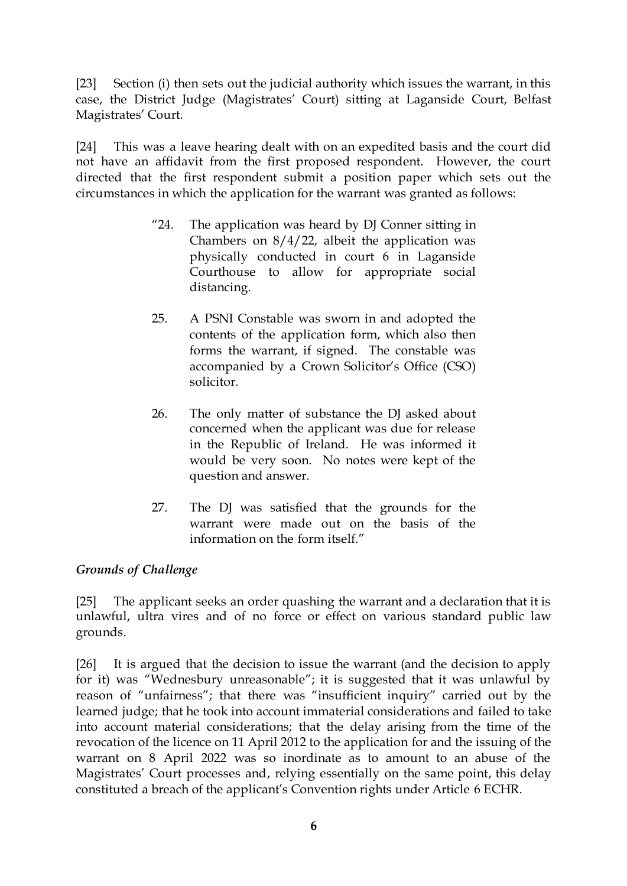[23] Section (i) then sets out the judicial authority which issues the warrant, in this case, the District Judge (Magistrates' Court) sitting at Laganside Court, Belfast Magistrates' Court.

[24] This was a leave hearing dealt with on an expedited basis and the court did not have an affidavit from the first proposed respondent. However, the court directed that the first respondent submit a position paper which sets out the circumstances in which the application for the warrant was granted as follows:

- "24. The application was heard by DJ Conner sitting in Chambers on  $8/4/22$ , albeit the application was physically conducted in court 6 in Laganside Courthouse to allow for appropriate social distancing.
- 25. A PSNI Constable was sworn in and adopted the contents of the application form, which also then forms the warrant, if signed. The constable was accompanied by a Crown Solicitor's Office (CSO) solicitor.
- 26. The only matter of substance the DJ asked about concerned when the applicant was due for release in the Republic of Ireland. He was informed it would be very soon. No notes were kept of the question and answer.
- 27. The DJ was satisfied that the grounds for the warrant were made out on the basis of the information on the form itself."

# *Grounds of Challenge*

[25] The applicant seeks an order quashing the warrant and a declaration that it is unlawful, ultra vires and of no force or effect on various standard public law grounds.

[26] It is argued that the decision to issue the warrant (and the decision to apply for it) was "Wednesbury unreasonable"; it is suggested that it was unlawful by reason of "unfairness"; that there was "insufficient inquiry" carried out by the learned judge; that he took into account immaterial considerations and failed to take into account material considerations; that the delay arising from the time of the revocation of the licence on 11 April 2012 to the application for and the issuing of the warrant on 8 April 2022 was so inordinate as to amount to an abuse of the Magistrates' Court processes and, relying essentially on the same point, this delay constituted a breach of the applicant's Convention rights under Article 6 ECHR.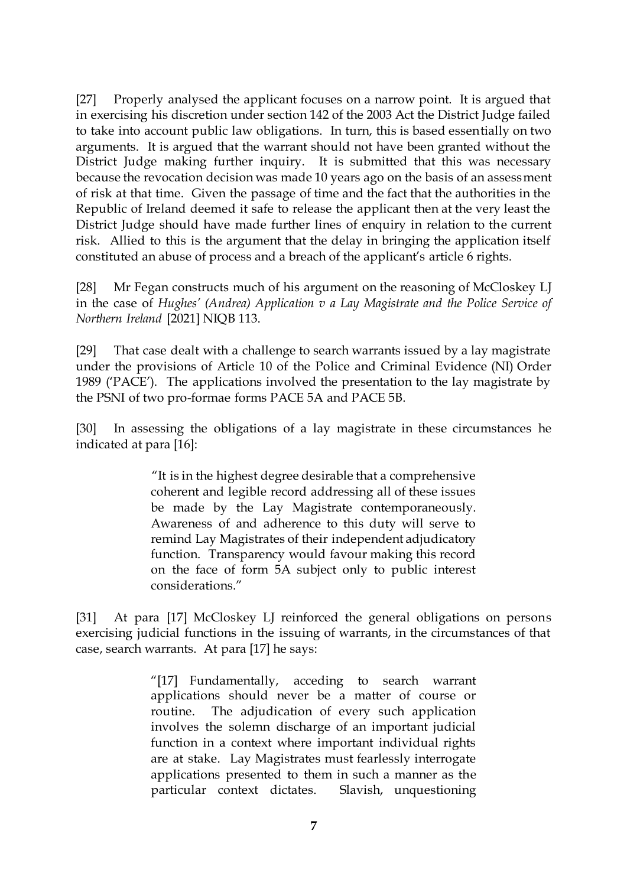[27] Properly analysed the applicant focuses on a narrow point. It is argued that in exercising his discretion under section 142 of the 2003 Act the District Judge failed to take into account public law obligations. In turn, this is based essentially on two arguments. It is argued that the warrant should not have been granted without the District Judge making further inquiry. It is submitted that this was necessary because the revocation decision was made 10 years ago on the basis of an assessment of risk at that time. Given the passage of time and the fact that the authorities in the Republic of Ireland deemed it safe to release the applicant then at the very least the District Judge should have made further lines of enquiry in relation to the current risk. Allied to this is the argument that the delay in bringing the application itself constituted an abuse of process and a breach of the applicant's article 6 rights.

[28] Mr Fegan constructs much of his argument on the reasoning of McCloskey LJ in the case of *Hughes' (Andrea) Application v a Lay Magistrate and the Police Service of Northern Ireland* [2021] NIQB 113.

[29] That case dealt with a challenge to search warrants issued by a lay magistrate under the provisions of Article 10 of the Police and Criminal Evidence (NI) Order 1989 ('PACE'). The applications involved the presentation to the lay magistrate by the PSNI of two pro-formae forms PACE 5A and PACE 5B.

[30] In assessing the obligations of a lay magistrate in these circumstances he indicated at para [16]:

> "It is in the highest degree desirable that a comprehensive coherent and legible record addressing all of these issues be made by the Lay Magistrate contemporaneously. Awareness of and adherence to this duty will serve to remind Lay Magistrates of their independent adjudicatory function. Transparency would favour making this record on the face of form 5A subject only to public interest considerations."

[31] At para [17] McCloskey LJ reinforced the general obligations on persons exercising judicial functions in the issuing of warrants, in the circumstances of that case, search warrants. At para [17] he says:

> "[17] Fundamentally, acceding to search warrant applications should never be a matter of course or routine. The adjudication of every such application involves the solemn discharge of an important judicial function in a context where important individual rights are at stake. Lay Magistrates must fearlessly interrogate applications presented to them in such a manner as the particular context dictates. Slavish, unquestioning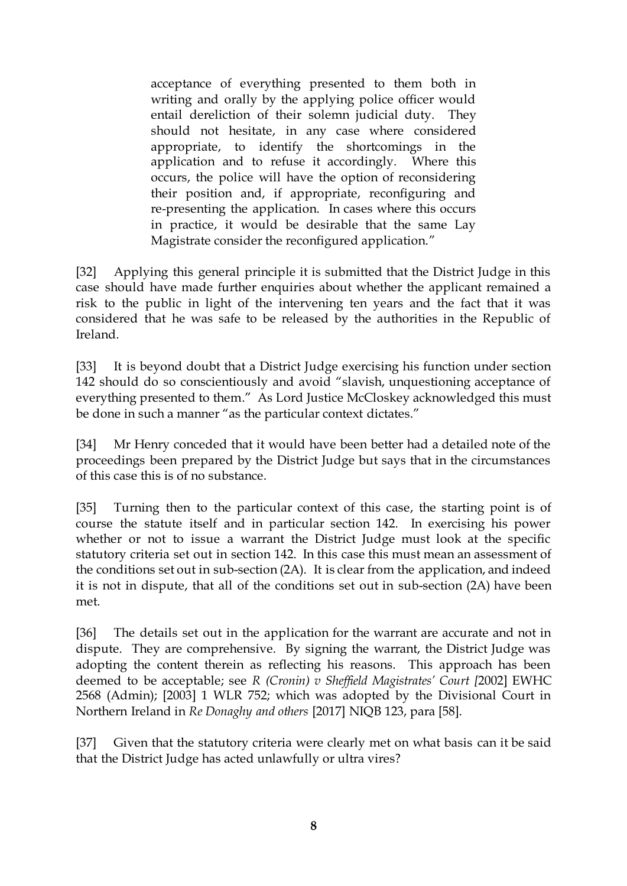acceptance of everything presented to them both in writing and orally by the applying police officer would entail dereliction of their solemn judicial duty. They should not hesitate, in any case where considered appropriate, to identify the shortcomings in the application and to refuse it accordingly. Where this occurs, the police will have the option of reconsidering their position and, if appropriate, reconfiguring and re-presenting the application. In cases where this occurs in practice, it would be desirable that the same Lay Magistrate consider the reconfigured application."

[32] Applying this general principle it is submitted that the District Judge in this case should have made further enquiries about whether the applicant remained a risk to the public in light of the intervening ten years and the fact that it was considered that he was safe to be released by the authorities in the Republic of Ireland.

[33] It is beyond doubt that a District Judge exercising his function under section 142 should do so conscientiously and avoid "slavish, unquestioning acceptance of everything presented to them." As Lord Justice McCloskey acknowledged this must be done in such a manner "as the particular context dictates."

[34] Mr Henry conceded that it would have been better had a detailed note of the proceedings been prepared by the District Judge but says that in the circumstances of this case this is of no substance.

[35] Turning then to the particular context of this case, the starting point is of course the statute itself and in particular section 142. In exercising his power whether or not to issue a warrant the District Judge must look at the specific statutory criteria set out in section 142. In this case this must mean an assessment of the conditions set out in sub-section (2A). It is clear from the application, and indeed it is not in dispute, that all of the conditions set out in sub-section (2A) have been met.

[36] The details set out in the application for the warrant are accurate and not in dispute. They are comprehensive. By signing the warrant, the District Judge was adopting the content therein as reflecting his reasons. This approach has been deemed to be acceptable; see *R (Cronin) v Sheffield Magistrates' Court [*2002] EWHC 2568 (Admin); [2003] 1 WLR 752; which was adopted by the Divisional Court in Northern Ireland in *Re Donaghy and others* [2017] NIQB 123, para [58].

[37] Given that the statutory criteria were clearly met on what basis can it be said that the District Judge has acted unlawfully or ultra vires?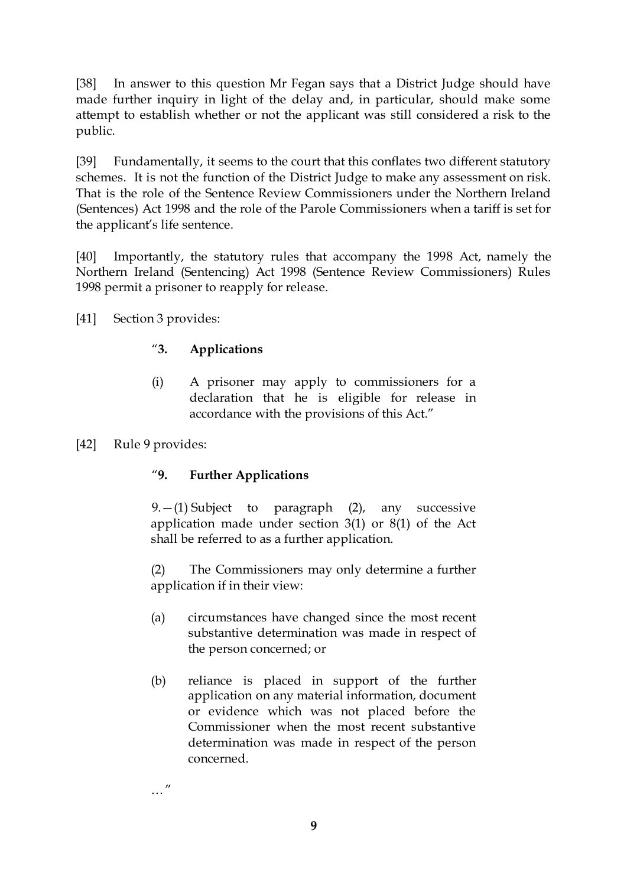[38] In answer to this question Mr Fegan says that a District Judge should have made further inquiry in light of the delay and, in particular, should make some attempt to establish whether or not the applicant was still considered a risk to the public.

[39] Fundamentally, it seems to the court that this conflates two different statutory schemes. It is not the function of the District Judge to make any assessment on risk. That is the role of the Sentence Review Commissioners under the Northern Ireland (Sentences) Act 1998 and the role of the Parole Commissioners when a tariff is set for the applicant's life sentence.

[40] Importantly, the statutory rules that accompany the 1998 Act, namely the Northern Ireland (Sentencing) Act 1998 (Sentence Review Commissioners) Rules 1998 permit a prisoner to reapply for release.

[41] Section 3 provides:

# "**3. Applications**

- (i) A prisoner may apply to commissioners for a declaration that he is eligible for release in accordance with the provisions of this Act."
- [42] Rule 9 provides:

# "**9. Further Applications**

 $9. - (1)$  Subject to paragraph  $(2)$ , any successive application made under section 3(1) or 8(1) of the Act shall be referred to as a further application.

(2) The Commissioners may only determine a further application if in their view:

- (a) circumstances have changed since the most recent substantive determination was made in respect of the person concerned; or
- (b) reliance is placed in support of the further application on any material information, document or evidence which was not placed before the Commissioner when the most recent substantive determination was made in respect of the person concerned.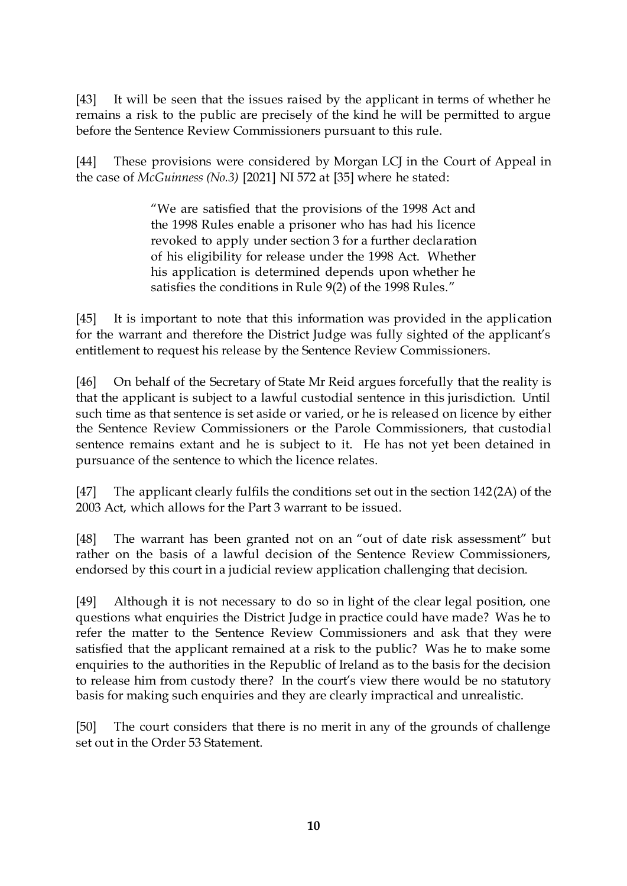[43] It will be seen that the issues raised by the applicant in terms of whether he remains a risk to the public are precisely of the kind he will be permitted to argue before the Sentence Review Commissioners pursuant to this rule.

[44] These provisions were considered by Morgan LCJ in the Court of Appeal in the case of *McGuinness (No.3)* [2021] NI 572 at [35] where he stated:

> "We are satisfied that the provisions of the 1998 Act and the 1998 Rules enable a prisoner who has had his licence revoked to apply under section 3 for a further declaration of his eligibility for release under the 1998 Act. Whether his application is determined depends upon whether he satisfies the conditions in Rule 9(2) of the 1998 Rules."

[45] It is important to note that this information was provided in the application for the warrant and therefore the District Judge was fully sighted of the applicant's entitlement to request his release by the Sentence Review Commissioners.

[46] On behalf of the Secretary of State Mr Reid argues forcefully that the reality is that the applicant is subject to a lawful custodial sentence in this jurisdiction. Until such time as that sentence is set aside or varied, or he is released on licence by either the Sentence Review Commissioners or the Parole Commissioners, that custodial sentence remains extant and he is subject to it. He has not yet been detained in pursuance of the sentence to which the licence relates.

[47] The applicant clearly fulfils the conditions set out in the section 142(2A) of the 2003 Act, which allows for the Part 3 warrant to be issued.

[48] The warrant has been granted not on an "out of date risk assessment" but rather on the basis of a lawful decision of the Sentence Review Commissioners, endorsed by this court in a judicial review application challenging that decision.

[49] Although it is not necessary to do so in light of the clear legal position, one questions what enquiries the District Judge in practice could have made? Was he to refer the matter to the Sentence Review Commissioners and ask that they were satisfied that the applicant remained at a risk to the public? Was he to make some enquiries to the authorities in the Republic of Ireland as to the basis for the decision to release him from custody there? In the court's view there would be no statutory basis for making such enquiries and they are clearly impractical and unrealistic.

[50] The court considers that there is no merit in any of the grounds of challenge set out in the Order 53 Statement.